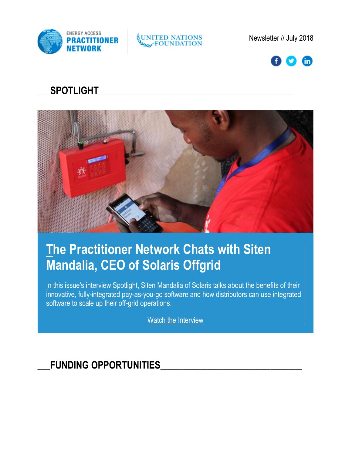

UNITED NATIONS

Newsletter // July 2018



## \_\_\_\_**SPOTLIGHT**\_\_\_\_\_\_\_\_\_\_\_\_\_\_\_\_\_\_\_\_\_\_\_\_\_\_\_\_\_\_\_\_\_\_\_\_\_\_\_\_\_\_\_\_\_\_\_\_\_\_\_\_\_\_\_\_\_\_\_\_\_\_



# **[Th](https://click.everyaction.com/k/1747312/9257080/2109178530?nvep=ew0KICAiVGVuYW50VXJpIjogIm5ncHZhbjovL3Zhbi9VTkYvVU5GLzEvNjA4MDYiLA0KICAiRGlzdHJpYnV0aW9uVW5pcXVlSWQiOiAiZDUwOWIzYmEtYTc5MS1lODExLTgwYzItMDAwZDNhMTJiYmIxIiwNCiAgIkVtYWlsQWRkcmVzcyI6ICJLZmFybWVyQHVuZm91bmRhdGlvbi5vcmciDQp9&hmac=K2d8-TMaB7KpAvVioDujUSLBDmQxj_6SYgGQ8ZiJjGU=)e Practitioner Network Chats with Siten Mandalia, CEO of Solaris Offgrid**

[In](https://click.everyaction.com/k/1747313/9257081/2109178530?nvep=ew0KICAiVGVuYW50VXJpIjogIm5ncHZhbjovL3Zhbi9VTkYvVU5GLzEvNjA4MDYiLA0KICAiRGlzdHJpYnV0aW9uVW5pcXVlSWQiOiAiZDUwOWIzYmEtYTc5MS1lODExLTgwYzItMDAwZDNhMTJiYmIxIiwNCiAgIkVtYWlsQWRkcmVzcyI6ICJLZmFybWVyQHVuZm91bmRhdGlvbi5vcmciDQp9&hmac=K2d8-TMaB7KpAvVioDujUSLBDmQxj_6SYgGQ8ZiJjGU=) this issue's interview Spotlight, Siten Mandalia of Solaris talks about the benefits of their innovative, fully-integrated pay-as-you-go software and how distributors can use integrated software to scale up their off-grid operations.

[Watch the Interview](https://click.everyaction.com/k/1747314/9257082/1203437577?nvep=ew0KICAiVGVuYW50VXJpIjogIm5ncHZhbjovL3Zhbi9VTkYvVU5GLzEvNjA4MDYiLA0KICAiRGlzdHJpYnV0aW9uVW5pcXVlSWQiOiAiZDUwOWIzYmEtYTc5MS1lODExLTgwYzItMDAwZDNhMTJiYmIxIiwNCiAgIkVtYWlsQWRkcmVzcyI6ICJLZmFybWVyQHVuZm91bmRhdGlvbi5vcmciDQp9&hmac=K2d8-TMaB7KpAvVioDujUSLBDmQxj_6SYgGQ8ZiJjGU=)

### FUNDING OPPORTUNITIES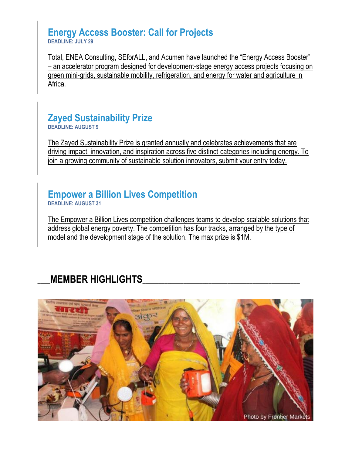#### **Energy Access Booster: Call for Projects DEADLINE: JULY 29**

[Total, ENEA Consulting, SEforALL, and Acumen have launched the "Energy Access Booster"](https://click.everyaction.com/k/1747315/9257083/-1616024992?nvep=ew0KICAiVGVuYW50VXJpIjogIm5ncHZhbjovL3Zhbi9VTkYvVU5GLzEvNjA4MDYiLA0KICAiRGlzdHJpYnV0aW9uVW5pcXVlSWQiOiAiZDUwOWIzYmEtYTc5MS1lODExLTgwYzItMDAwZDNhMTJiYmIxIiwNCiAgIkVtYWlsQWRkcmVzcyI6ICJLZmFybWVyQHVuZm91bmRhdGlvbi5vcmciDQp9&hmac=K2d8-TMaB7KpAvVioDujUSLBDmQxj_6SYgGQ8ZiJjGU=)  – [an accelerator program designed for development-stage energy access projects focusing on](https://click.everyaction.com/k/1747315/9257083/-1616024992?nvep=ew0KICAiVGVuYW50VXJpIjogIm5ncHZhbjovL3Zhbi9VTkYvVU5GLzEvNjA4MDYiLA0KICAiRGlzdHJpYnV0aW9uVW5pcXVlSWQiOiAiZDUwOWIzYmEtYTc5MS1lODExLTgwYzItMDAwZDNhMTJiYmIxIiwNCiAgIkVtYWlsQWRkcmVzcyI6ICJLZmFybWVyQHVuZm91bmRhdGlvbi5vcmciDQp9&hmac=K2d8-TMaB7KpAvVioDujUSLBDmQxj_6SYgGQ8ZiJjGU=)  [green mini-grids, sustainable mobility, refrigeration, and energy for water and agriculture in](https://click.everyaction.com/k/1747315/9257083/-1616024992?nvep=ew0KICAiVGVuYW50VXJpIjogIm5ncHZhbjovL3Zhbi9VTkYvVU5GLzEvNjA4MDYiLA0KICAiRGlzdHJpYnV0aW9uVW5pcXVlSWQiOiAiZDUwOWIzYmEtYTc5MS1lODExLTgwYzItMDAwZDNhMTJiYmIxIiwNCiAgIkVtYWlsQWRkcmVzcyI6ICJLZmFybWVyQHVuZm91bmRhdGlvbi5vcmciDQp9&hmac=K2d8-TMaB7KpAvVioDujUSLBDmQxj_6SYgGQ8ZiJjGU=)  [Africa.](https://click.everyaction.com/k/1747315/9257083/-1616024992?nvep=ew0KICAiVGVuYW50VXJpIjogIm5ncHZhbjovL3Zhbi9VTkYvVU5GLzEvNjA4MDYiLA0KICAiRGlzdHJpYnV0aW9uVW5pcXVlSWQiOiAiZDUwOWIzYmEtYTc5MS1lODExLTgwYzItMDAwZDNhMTJiYmIxIiwNCiAgIkVtYWlsQWRkcmVzcyI6ICJLZmFybWVyQHVuZm91bmRhdGlvbi5vcmciDQp9&hmac=K2d8-TMaB7KpAvVioDujUSLBDmQxj_6SYgGQ8ZiJjGU=) 

#### **Zayed Sustainability Prize DEADLINE: AUGUST 9**

[The Zayed Sustainability Prize is granted annually and celebrates achievements that are](https://click.everyaction.com/k/1747316/9257084/802500918?nvep=ew0KICAiVGVuYW50VXJpIjogIm5ncHZhbjovL3Zhbi9VTkYvVU5GLzEvNjA4MDYiLA0KICAiRGlzdHJpYnV0aW9uVW5pcXVlSWQiOiAiZDUwOWIzYmEtYTc5MS1lODExLTgwYzItMDAwZDNhMTJiYmIxIiwNCiAgIkVtYWlsQWRkcmVzcyI6ICJLZmFybWVyQHVuZm91bmRhdGlvbi5vcmciDQp9&hmac=K2d8-TMaB7KpAvVioDujUSLBDmQxj_6SYgGQ8ZiJjGU=)  [driving impact, innovation, and inspiration across five distinct](https://click.everyaction.com/k/1747316/9257084/802500918?nvep=ew0KICAiVGVuYW50VXJpIjogIm5ncHZhbjovL3Zhbi9VTkYvVU5GLzEvNjA4MDYiLA0KICAiRGlzdHJpYnV0aW9uVW5pcXVlSWQiOiAiZDUwOWIzYmEtYTc5MS1lODExLTgwYzItMDAwZDNhMTJiYmIxIiwNCiAgIkVtYWlsQWRkcmVzcyI6ICJLZmFybWVyQHVuZm91bmRhdGlvbi5vcmciDQp9&hmac=K2d8-TMaB7KpAvVioDujUSLBDmQxj_6SYgGQ8ZiJjGU=) categories including energy. To [join a growing community of sustainable solution innovators, submit your entry today.](https://click.everyaction.com/k/1747316/9257084/802500918?nvep=ew0KICAiVGVuYW50VXJpIjogIm5ncHZhbjovL3Zhbi9VTkYvVU5GLzEvNjA4MDYiLA0KICAiRGlzdHJpYnV0aW9uVW5pcXVlSWQiOiAiZDUwOWIzYmEtYTc5MS1lODExLTgwYzItMDAwZDNhMTJiYmIxIiwNCiAgIkVtYWlsQWRkcmVzcyI6ICJLZmFybWVyQHVuZm91bmRhdGlvbi5vcmciDQp9&hmac=K2d8-TMaB7KpAvVioDujUSLBDmQxj_6SYgGQ8ZiJjGU=) 

#### **Empower a Billion Lives Competition DEADLINE: AUGUST 31**

[The Empower a Billion Lives competition challenges teams to develop scalable solutions that](https://click.everyaction.com/k/1747317/9257085/-644569183?nvep=ew0KICAiVGVuYW50VXJpIjogIm5ncHZhbjovL3Zhbi9VTkYvVU5GLzEvNjA4MDYiLA0KICAiRGlzdHJpYnV0aW9uVW5pcXVlSWQiOiAiZDUwOWIzYmEtYTc5MS1lODExLTgwYzItMDAwZDNhMTJiYmIxIiwNCiAgIkVtYWlsQWRkcmVzcyI6ICJLZmFybWVyQHVuZm91bmRhdGlvbi5vcmciDQp9&hmac=K2d8-TMaB7KpAvVioDujUSLBDmQxj_6SYgGQ8ZiJjGU=)  [address global energy poverty. The competition has four tracks, arranged by the type of](https://click.everyaction.com/k/1747317/9257085/-644569183?nvep=ew0KICAiVGVuYW50VXJpIjogIm5ncHZhbjovL3Zhbi9VTkYvVU5GLzEvNjA4MDYiLA0KICAiRGlzdHJpYnV0aW9uVW5pcXVlSWQiOiAiZDUwOWIzYmEtYTc5MS1lODExLTgwYzItMDAwZDNhMTJiYmIxIiwNCiAgIkVtYWlsQWRkcmVzcyI6ICJLZmFybWVyQHVuZm91bmRhdGlvbi5vcmciDQp9&hmac=K2d8-TMaB7KpAvVioDujUSLBDmQxj_6SYgGQ8ZiJjGU=)  [model and the development stage of the solution. The max prize is \\$1M.](https://click.everyaction.com/k/1747317/9257085/-644569183?nvep=ew0KICAiVGVuYW50VXJpIjogIm5ncHZhbjovL3Zhbi9VTkYvVU5GLzEvNjA4MDYiLA0KICAiRGlzdHJpYnV0aW9uVW5pcXVlSWQiOiAiZDUwOWIzYmEtYTc5MS1lODExLTgwYzItMDAwZDNhMTJiYmIxIiwNCiAgIkVtYWlsQWRkcmVzcyI6ICJLZmFybWVyQHVuZm91bmRhdGlvbi5vcmciDQp9&hmac=K2d8-TMaB7KpAvVioDujUSLBDmQxj_6SYgGQ8ZiJjGU=)

## \_\_\_\_**MEMBER HIGHLIGHTS**\_\_\_\_\_\_\_\_\_\_\_\_\_\_\_\_\_\_\_\_\_\_\_\_\_\_\_\_\_\_\_\_\_\_\_\_\_\_\_\_\_\_\_\_\_\_\_\_\_\_

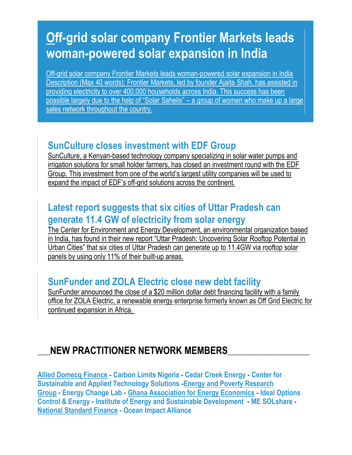# **[Of](https://click.everyaction.com/k/1747319/9257087/267371951?nvep=ew0KICAiVGVuYW50VXJpIjogIm5ncHZhbjovL3Zhbi9VTkYvVU5GLzEvNjA4MDYiLA0KICAiRGlzdHJpYnV0aW9uVW5pcXVlSWQiOiAiZDUwOWIzYmEtYTc5MS1lODExLTgwYzItMDAwZDNhMTJiYmIxIiwNCiAgIkVtYWlsQWRkcmVzcyI6ICJLZmFybWVyQHVuZm91bmRhdGlvbi5vcmciDQp9&hmac=K2d8-TMaB7KpAvVioDujUSLBDmQxj_6SYgGQ8ZiJjGU=)f-grid solar company Frontier Markets leads woman-powered solar expansion in India**

[Off-grid solar company Frontier Markets leads woman-powered solar expansion in India](https://click.everyaction.com/k/1747320/9257088/267371951?nvep=ew0KICAiVGVuYW50VXJpIjogIm5ncHZhbjovL3Zhbi9VTkYvVU5GLzEvNjA4MDYiLA0KICAiRGlzdHJpYnV0aW9uVW5pcXVlSWQiOiAiZDUwOWIzYmEtYTc5MS1lODExLTgwYzItMDAwZDNhMTJiYmIxIiwNCiAgIkVtYWlsQWRkcmVzcyI6ICJLZmFybWVyQHVuZm91bmRhdGlvbi5vcmciDQp9&hmac=K2d8-TMaB7KpAvVioDujUSLBDmQxj_6SYgGQ8ZiJjGU=)  [Description \(Max 40 words\): Frontier Markets, led by founder Ajaita](https://click.everyaction.com/k/1747320/9257088/267371951?nvep=ew0KICAiVGVuYW50VXJpIjogIm5ncHZhbjovL3Zhbi9VTkYvVU5GLzEvNjA4MDYiLA0KICAiRGlzdHJpYnV0aW9uVW5pcXVlSWQiOiAiZDUwOWIzYmEtYTc5MS1lODExLTgwYzItMDAwZDNhMTJiYmIxIiwNCiAgIkVtYWlsQWRkcmVzcyI6ICJLZmFybWVyQHVuZm91bmRhdGlvbi5vcmciDQp9&hmac=K2d8-TMaB7KpAvVioDujUSLBDmQxj_6SYgGQ8ZiJjGU=) Shah, has assisted in [providing electricity to over 400,000 households across India. This success has been](https://click.everyaction.com/k/1747320/9257088/267371951?nvep=ew0KICAiVGVuYW50VXJpIjogIm5ncHZhbjovL3Zhbi9VTkYvVU5GLzEvNjA4MDYiLA0KICAiRGlzdHJpYnV0aW9uVW5pcXVlSWQiOiAiZDUwOWIzYmEtYTc5MS1lODExLTgwYzItMDAwZDNhMTJiYmIxIiwNCiAgIkVtYWlsQWRkcmVzcyI6ICJLZmFybWVyQHVuZm91bmRhdGlvbi5vcmciDQp9&hmac=K2d8-TMaB7KpAvVioDujUSLBDmQxj_6SYgGQ8ZiJjGU=)  [possible largely due to the help of "Solar Sahelis" –](https://click.everyaction.com/k/1747320/9257088/267371951?nvep=ew0KICAiVGVuYW50VXJpIjogIm5ncHZhbjovL3Zhbi9VTkYvVU5GLzEvNjA4MDYiLA0KICAiRGlzdHJpYnV0aW9uVW5pcXVlSWQiOiAiZDUwOWIzYmEtYTc5MS1lODExLTgwYzItMDAwZDNhMTJiYmIxIiwNCiAgIkVtYWlsQWRkcmVzcyI6ICJLZmFybWVyQHVuZm91bmRhdGlvbi5vcmciDQp9&hmac=K2d8-TMaB7KpAvVioDujUSLBDmQxj_6SYgGQ8ZiJjGU=) a group of women who make up a large sales network throughout the country.

## **SunCulture closes investment with EDF Group**

[SunCulture, a Kenyan-based technology company specializing in solar water pumps and](https://click.everyaction.com/k/1747321/9257089/-924180831?nvep=ew0KICAiVGVuYW50VXJpIjogIm5ncHZhbjovL3Zhbi9VTkYvVU5GLzEvNjA4MDYiLA0KICAiRGlzdHJpYnV0aW9uVW5pcXVlSWQiOiAiZDUwOWIzYmEtYTc5MS1lODExLTgwYzItMDAwZDNhMTJiYmIxIiwNCiAgIkVtYWlsQWRkcmVzcyI6ICJLZmFybWVyQHVuZm91bmRhdGlvbi5vcmciDQp9&hmac=K2d8-TMaB7KpAvVioDujUSLBDmQxj_6SYgGQ8ZiJjGU=&dl=0)  [irrigation solutions for small holder farmers, has closed an investment round with the EDF](https://click.everyaction.com/k/1747321/9257089/-924180831?nvep=ew0KICAiVGVuYW50VXJpIjogIm5ncHZhbjovL3Zhbi9VTkYvVU5GLzEvNjA4MDYiLA0KICAiRGlzdHJpYnV0aW9uVW5pcXVlSWQiOiAiZDUwOWIzYmEtYTc5MS1lODExLTgwYzItMDAwZDNhMTJiYmIxIiwNCiAgIkVtYWlsQWRkcmVzcyI6ICJLZmFybWVyQHVuZm91bmRhdGlvbi5vcmciDQp9&hmac=K2d8-TMaB7KpAvVioDujUSLBDmQxj_6SYgGQ8ZiJjGU=&dl=0)  [Group. This investment from one of the world's largest utility companies will be used to](https://click.everyaction.com/k/1747321/9257089/-924180831?nvep=ew0KICAiVGVuYW50VXJpIjogIm5ncHZhbjovL3Zhbi9VTkYvVU5GLzEvNjA4MDYiLA0KICAiRGlzdHJpYnV0aW9uVW5pcXVlSWQiOiAiZDUwOWIzYmEtYTc5MS1lODExLTgwYzItMDAwZDNhMTJiYmIxIiwNCiAgIkVtYWlsQWRkcmVzcyI6ICJLZmFybWVyQHVuZm91bmRhdGlvbi5vcmciDQp9&hmac=K2d8-TMaB7KpAvVioDujUSLBDmQxj_6SYgGQ8ZiJjGU=&dl=0)  expand the impact of EDF's off[-grid solutions across the continent.](https://click.everyaction.com/k/1747321/9257089/-924180831?nvep=ew0KICAiVGVuYW50VXJpIjogIm5ncHZhbjovL3Zhbi9VTkYvVU5GLzEvNjA4MDYiLA0KICAiRGlzdHJpYnV0aW9uVW5pcXVlSWQiOiAiZDUwOWIzYmEtYTc5MS1lODExLTgwYzItMDAwZDNhMTJiYmIxIiwNCiAgIkVtYWlsQWRkcmVzcyI6ICJLZmFybWVyQHVuZm91bmRhdGlvbi5vcmciDQp9&hmac=K2d8-TMaB7KpAvVioDujUSLBDmQxj_6SYgGQ8ZiJjGU=&dl=0) 

#### **Latest report suggests that six cities of Uttar Pradesh can generate 11.4 GW of electricity from solar energy**

[The Center for Environment and Energy Development, an environmental organization based](https://click.everyaction.com/k/1747322/9257090/2033365946?nvep=ew0KICAiVGVuYW50VXJpIjogIm5ncHZhbjovL3Zhbi9VTkYvVU5GLzEvNjA4MDYiLA0KICAiRGlzdHJpYnV0aW9uVW5pcXVlSWQiOiAiZDUwOWIzYmEtYTc5MS1lODExLTgwYzItMDAwZDNhMTJiYmIxIiwNCiAgIkVtYWlsQWRkcmVzcyI6ICJLZmFybWVyQHVuZm91bmRhdGlvbi5vcmciDQp9&hmac=K2d8-TMaB7KpAvVioDujUSLBDmQxj_6SYgGQ8ZiJjGU=)  [in India, has found in their new report "Uttar Pradesh: Uncovering Solar Rooftop Potential in](https://click.everyaction.com/k/1747322/9257090/2033365946?nvep=ew0KICAiVGVuYW50VXJpIjogIm5ncHZhbjovL3Zhbi9VTkYvVU5GLzEvNjA4MDYiLA0KICAiRGlzdHJpYnV0aW9uVW5pcXVlSWQiOiAiZDUwOWIzYmEtYTc5MS1lODExLTgwYzItMDAwZDNhMTJiYmIxIiwNCiAgIkVtYWlsQWRkcmVzcyI6ICJLZmFybWVyQHVuZm91bmRhdGlvbi5vcmciDQp9&hmac=K2d8-TMaB7KpAvVioDujUSLBDmQxj_6SYgGQ8ZiJjGU=)  [Urban Cities" that six cities of Uttar Pradesh can generate up to 11.4GW via rooftop solar](https://click.everyaction.com/k/1747322/9257090/2033365946?nvep=ew0KICAiVGVuYW50VXJpIjogIm5ncHZhbjovL3Zhbi9VTkYvVU5GLzEvNjA4MDYiLA0KICAiRGlzdHJpYnV0aW9uVW5pcXVlSWQiOiAiZDUwOWIzYmEtYTc5MS1lODExLTgwYzItMDAwZDNhMTJiYmIxIiwNCiAgIkVtYWlsQWRkcmVzcyI6ICJLZmFybWVyQHVuZm91bmRhdGlvbi5vcmciDQp9&hmac=K2d8-TMaB7KpAvVioDujUSLBDmQxj_6SYgGQ8ZiJjGU=)  [panels by using only 11% of their built-up areas.](https://click.everyaction.com/k/1747322/9257090/2033365946?nvep=ew0KICAiVGVuYW50VXJpIjogIm5ncHZhbjovL3Zhbi9VTkYvVU5GLzEvNjA4MDYiLA0KICAiRGlzdHJpYnV0aW9uVW5pcXVlSWQiOiAiZDUwOWIzYmEtYTc5MS1lODExLTgwYzItMDAwZDNhMTJiYmIxIiwNCiAgIkVtYWlsQWRkcmVzcyI6ICJLZmFybWVyQHVuZm91bmRhdGlvbi5vcmciDQp9&hmac=K2d8-TMaB7KpAvVioDujUSLBDmQxj_6SYgGQ8ZiJjGU=)

### **SunFunder and ZOLA Electric close new debt facility**

SunFunder [announced the close of a \\$20 million dollar debt financing facility with a family](https://click.everyaction.com/k/1747323/9257091/-1507139669?nvep=ew0KICAiVGVuYW50VXJpIjogIm5ncHZhbjovL3Zhbi9VTkYvVU5GLzEvNjA4MDYiLA0KICAiRGlzdHJpYnV0aW9uVW5pcXVlSWQiOiAiZDUwOWIzYmEtYTc5MS1lODExLTgwYzItMDAwZDNhMTJiYmIxIiwNCiAgIkVtYWlsQWRkcmVzcyI6ICJLZmFybWVyQHVuZm91bmRhdGlvbi5vcmciDQp9&hmac=K2d8-TMaB7KpAvVioDujUSLBDmQxj_6SYgGQ8ZiJjGU=)  [office for ZOLA Electric, a renewable energy enterprise formerly known as Off Grid Electric](https://click.everyaction.com/k/1747323/9257091/-1507139669?nvep=ew0KICAiVGVuYW50VXJpIjogIm5ncHZhbjovL3Zhbi9VTkYvVU5GLzEvNjA4MDYiLA0KICAiRGlzdHJpYnV0aW9uVW5pcXVlSWQiOiAiZDUwOWIzYmEtYTc5MS1lODExLTgwYzItMDAwZDNhMTJiYmIxIiwNCiAgIkVtYWlsQWRkcmVzcyI6ICJLZmFybWVyQHVuZm91bmRhdGlvbi5vcmciDQp9&hmac=K2d8-TMaB7KpAvVioDujUSLBDmQxj_6SYgGQ8ZiJjGU=) for [continued expansion in Africa.](https://click.everyaction.com/k/1747323/9257091/-1507139669?nvep=ew0KICAiVGVuYW50VXJpIjogIm5ncHZhbjovL3Zhbi9VTkYvVU5GLzEvNjA4MDYiLA0KICAiRGlzdHJpYnV0aW9uVW5pcXVlSWQiOiAiZDUwOWIzYmEtYTc5MS1lODExLTgwYzItMDAwZDNhMTJiYmIxIiwNCiAgIkVtYWlsQWRkcmVzcyI6ICJLZmFybWVyQHVuZm91bmRhdGlvbi5vcmciDQp9&hmac=K2d8-TMaB7KpAvVioDujUSLBDmQxj_6SYgGQ8ZiJjGU=)

### \_\_\_\_**NEW PRACTITIONER NETWORK MEMBERS**\_\_\_\_\_\_\_\_\_\_\_\_\_\_\_\_\_\_\_\_\_\_\_\_\_\_

**[Allied Domecq Finance](https://click.everyaction.com/k/1747324/9257092/-403087796?nvep=ew0KICAiVGVuYW50VXJpIjogIm5ncHZhbjovL3Zhbi9VTkYvVU5GLzEvNjA4MDYiLA0KICAiRGlzdHJpYnV0aW9uVW5pcXVlSWQiOiAiZDUwOWIzYmEtYTc5MS1lODExLTgwYzItMDAwZDNhMTJiYmIxIiwNCiAgIkVtYWlsQWRkcmVzcyI6ICJLZmFybWVyQHVuZm91bmRhdGlvbi5vcmciDQp9&hmac=K2d8-TMaB7KpAvVioDujUSLBDmQxj_6SYgGQ8ZiJjGU=)** - **Carbon Limits Nigeria** - **Cedar Creek Energy** - **Center for Sustainable and Applied Technology Solutions** -**[Energy and Poverty Research](https://click.everyaction.com/k/1747325/9257093/-403087796?nvep=ew0KICAiVGVuYW50VXJpIjogIm5ncHZhbjovL3Zhbi9VTkYvVU5GLzEvNjA4MDYiLA0KICAiRGlzdHJpYnV0aW9uVW5pcXVlSWQiOiAiZDUwOWIzYmEtYTc5MS1lODExLTgwYzItMDAwZDNhMTJiYmIxIiwNCiAgIkVtYWlsQWRkcmVzcyI6ICJLZmFybWVyQHVuZm91bmRhdGlvbi5vcmciDQp9&hmac=K2d8-TMaB7KpAvVioDujUSLBDmQxj_6SYgGQ8ZiJjGU=)  [Group](https://click.everyaction.com/k/1747325/9257093/-403087796?nvep=ew0KICAiVGVuYW50VXJpIjogIm5ncHZhbjovL3Zhbi9VTkYvVU5GLzEvNjA4MDYiLA0KICAiRGlzdHJpYnV0aW9uVW5pcXVlSWQiOiAiZDUwOWIzYmEtYTc5MS1lODExLTgwYzItMDAwZDNhMTJiYmIxIiwNCiAgIkVtYWlsQWRkcmVzcyI6ICJLZmFybWVyQHVuZm91bmRhdGlvbi5vcmciDQp9&hmac=K2d8-TMaB7KpAvVioDujUSLBDmQxj_6SYgGQ8ZiJjGU=)** - **Energy Change Lab** - **[Ghana Association for Energy Economics](https://click.everyaction.com/k/1747326/9257094/-403087796?nvep=ew0KICAiVGVuYW50VXJpIjogIm5ncHZhbjovL3Zhbi9VTkYvVU5GLzEvNjA4MDYiLA0KICAiRGlzdHJpYnV0aW9uVW5pcXVlSWQiOiAiZDUwOWIzYmEtYTc5MS1lODExLTgwYzItMDAwZDNhMTJiYmIxIiwNCiAgIkVtYWlsQWRkcmVzcyI6ICJLZmFybWVyQHVuZm91bmRhdGlvbi5vcmciDQp9&hmac=K2d8-TMaB7KpAvVioDujUSLBDmQxj_6SYgGQ8ZiJjGU=)** - **Ideal Options Control & Energy** - **Institute of Energy and Sustainable Development** - **ME SOLshare** - **[National Standard Finance](https://click.everyaction.com/k/1747327/9257095/2046213044?nvep=ew0KICAiVGVuYW50VXJpIjogIm5ncHZhbjovL3Zhbi9VTkYvVU5GLzEvNjA4MDYiLA0KICAiRGlzdHJpYnV0aW9uVW5pcXVlSWQiOiAiZDUwOWIzYmEtYTc5MS1lODExLTgwYzItMDAwZDNhMTJiYmIxIiwNCiAgIkVtYWlsQWRkcmVzcyI6ICJLZmFybWVyQHVuZm91bmRhdGlvbi5vcmciDQp9&hmac=K2d8-TMaB7KpAvVioDujUSLBDmQxj_6SYgGQ8ZiJjGU=) - Ocean Impact Alliance**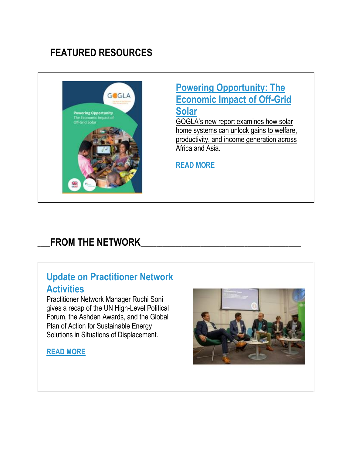## \_\_\_\_**FEATURED RESOURCES** \_\_\_\_\_\_\_\_\_\_\_\_\_\_\_\_\_\_\_\_\_\_\_\_\_\_\_\_\_\_\_\_\_\_\_\_\_\_\_\_\_\_\_\_\_\_\_



#### **[Powering Opportunity: The](https://click.everyaction.com/k/1747329/9257097/-644482674?nvep=ew0KICAiVGVuYW50VXJpIjogIm5ncHZhbjovL3Zhbi9VTkYvVU5GLzEvNjA4MDYiLA0KICAiRGlzdHJpYnV0aW9uVW5pcXVlSWQiOiAiZDUwOWIzYmEtYTc5MS1lODExLTgwYzItMDAwZDNhMTJiYmIxIiwNCiAgIkVtYWlsQWRkcmVzcyI6ICJLZmFybWVyQHVuZm91bmRhdGlvbi5vcmciDQp9&hmac=K2d8-TMaB7KpAvVioDujUSLBDmQxj_6SYgGQ8ZiJjGU=)  [Economic Impact of Off-Grid](https://click.everyaction.com/k/1747329/9257097/-644482674?nvep=ew0KICAiVGVuYW50VXJpIjogIm5ncHZhbjovL3Zhbi9VTkYvVU5GLzEvNjA4MDYiLA0KICAiRGlzdHJpYnV0aW9uVW5pcXVlSWQiOiAiZDUwOWIzYmEtYTc5MS1lODExLTgwYzItMDAwZDNhMTJiYmIxIiwNCiAgIkVtYWlsQWRkcmVzcyI6ICJLZmFybWVyQHVuZm91bmRhdGlvbi5vcmciDQp9&hmac=K2d8-TMaB7KpAvVioDujUSLBDmQxj_6SYgGQ8ZiJjGU=)  [Solar](https://click.everyaction.com/k/1747329/9257097/-644482674?nvep=ew0KICAiVGVuYW50VXJpIjogIm5ncHZhbjovL3Zhbi9VTkYvVU5GLzEvNjA4MDYiLA0KICAiRGlzdHJpYnV0aW9uVW5pcXVlSWQiOiAiZDUwOWIzYmEtYTc5MS1lODExLTgwYzItMDAwZDNhMTJiYmIxIiwNCiAgIkVtYWlsQWRkcmVzcyI6ICJLZmFybWVyQHVuZm91bmRhdGlvbi5vcmciDQp9&hmac=K2d8-TMaB7KpAvVioDujUSLBDmQxj_6SYgGQ8ZiJjGU=)**

[GOGLA's new report examines how solar](https://click.everyaction.com/k/1747330/9257098/-644482674?nvep=ew0KICAiVGVuYW50VXJpIjogIm5ncHZhbjovL3Zhbi9VTkYvVU5GLzEvNjA4MDYiLA0KICAiRGlzdHJpYnV0aW9uVW5pcXVlSWQiOiAiZDUwOWIzYmEtYTc5MS1lODExLTgwYzItMDAwZDNhMTJiYmIxIiwNCiAgIkVtYWlsQWRkcmVzcyI6ICJLZmFybWVyQHVuZm91bmRhdGlvbi5vcmciDQp9&hmac=K2d8-TMaB7KpAvVioDujUSLBDmQxj_6SYgGQ8ZiJjGU=)  [home systems can unlock gains to welfare,](https://click.everyaction.com/k/1747330/9257098/-644482674?nvep=ew0KICAiVGVuYW50VXJpIjogIm5ncHZhbjovL3Zhbi9VTkYvVU5GLzEvNjA4MDYiLA0KICAiRGlzdHJpYnV0aW9uVW5pcXVlSWQiOiAiZDUwOWIzYmEtYTc5MS1lODExLTgwYzItMDAwZDNhMTJiYmIxIiwNCiAgIkVtYWlsQWRkcmVzcyI6ICJLZmFybWVyQHVuZm91bmRhdGlvbi5vcmciDQp9&hmac=K2d8-TMaB7KpAvVioDujUSLBDmQxj_6SYgGQ8ZiJjGU=)  [productivity, and income generation across](https://click.everyaction.com/k/1747330/9257098/-644482674?nvep=ew0KICAiVGVuYW50VXJpIjogIm5ncHZhbjovL3Zhbi9VTkYvVU5GLzEvNjA4MDYiLA0KICAiRGlzdHJpYnV0aW9uVW5pcXVlSWQiOiAiZDUwOWIzYmEtYTc5MS1lODExLTgwYzItMDAwZDNhMTJiYmIxIiwNCiAgIkVtYWlsQWRkcmVzcyI6ICJLZmFybWVyQHVuZm91bmRhdGlvbi5vcmciDQp9&hmac=K2d8-TMaB7KpAvVioDujUSLBDmQxj_6SYgGQ8ZiJjGU=)  [Africa and Asia.](https://click.everyaction.com/k/1747330/9257098/-644482674?nvep=ew0KICAiVGVuYW50VXJpIjogIm5ncHZhbjovL3Zhbi9VTkYvVU5GLzEvNjA4MDYiLA0KICAiRGlzdHJpYnV0aW9uVW5pcXVlSWQiOiAiZDUwOWIzYmEtYTc5MS1lODExLTgwYzItMDAwZDNhMTJiYmIxIiwNCiAgIkVtYWlsQWRkcmVzcyI6ICJLZmFybWVyQHVuZm91bmRhdGlvbi5vcmciDQp9&hmac=K2d8-TMaB7KpAvVioDujUSLBDmQxj_6SYgGQ8ZiJjGU=) 

**[READ MORE](https://click.everyaction.com/k/1747331/9257099/-644482674?nvep=ew0KICAiVGVuYW50VXJpIjogIm5ncHZhbjovL3Zhbi9VTkYvVU5GLzEvNjA4MDYiLA0KICAiRGlzdHJpYnV0aW9uVW5pcXVlSWQiOiAiZDUwOWIzYmEtYTc5MS1lODExLTgwYzItMDAwZDNhMTJiYmIxIiwNCiAgIkVtYWlsQWRkcmVzcyI6ICJLZmFybWVyQHVuZm91bmRhdGlvbi5vcmciDQp9&hmac=K2d8-TMaB7KpAvVioDujUSLBDmQxj_6SYgGQ8ZiJjGU=)**

### FROM THE NETWORK

#### **Update on Practitioner Network Activities**

[Pr](https://click.everyaction.com/k/1747332/9257100/1031729601?nvep=ew0KICAiVGVuYW50VXJpIjogIm5ncHZhbjovL3Zhbi9VTkYvVU5GLzEvNjA4MDYiLA0KICAiRGlzdHJpYnV0aW9uVW5pcXVlSWQiOiAiZDUwOWIzYmEtYTc5MS1lODExLTgwYzItMDAwZDNhMTJiYmIxIiwNCiAgIkVtYWlsQWRkcmVzcyI6ICJLZmFybWVyQHVuZm91bmRhdGlvbi5vcmciDQp9&hmac=K2d8-TMaB7KpAvVioDujUSLBDmQxj_6SYgGQ8ZiJjGU=)actitioner Network Manager Ruchi Soni gives a recap of the UN High-Level Political Forum, the Ashden Awards, and the Global Plan of Action for Sustainable Energy Solutions in Situations of Displacement.

#### **[READ MORE](https://click.everyaction.com/k/1747333/9257101/1031729601?nvep=ew0KICAiVGVuYW50VXJpIjogIm5ncHZhbjovL3Zhbi9VTkYvVU5GLzEvNjA4MDYiLA0KICAiRGlzdHJpYnV0aW9uVW5pcXVlSWQiOiAiZDUwOWIzYmEtYTc5MS1lODExLTgwYzItMDAwZDNhMTJiYmIxIiwNCiAgIkVtYWlsQWRkcmVzcyI6ICJLZmFybWVyQHVuZm91bmRhdGlvbi5vcmciDQp9&hmac=K2d8-TMaB7KpAvVioDujUSLBDmQxj_6SYgGQ8ZiJjGU=)**